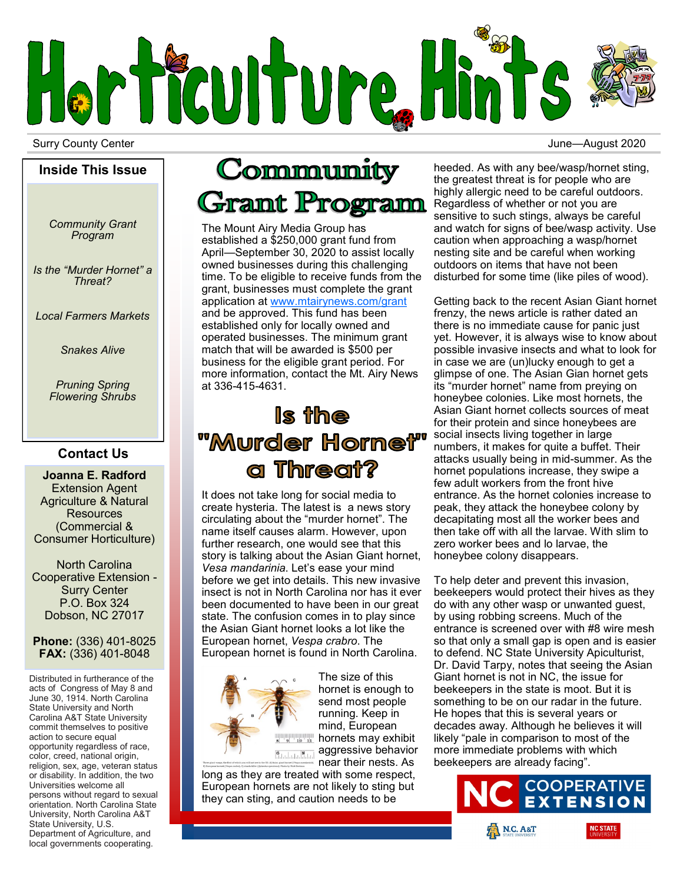

Surry County Center **Surry County Center**  $\sim$  3020

#### **Inside This Issue**

*Community Grant Program*

*Is the "Murder Hornet" a Threat?*

*Local Farmers Markets*

*Snakes Alive*

*Pruning Spring Flowering Shrubs*

## **Contact Us**

**Joanna E. Radford** Extension Agent Agriculture & Natural **Resources** (Commercial & Consumer Horticulture)

North Carolina Cooperative Extension - Surry Center P.O. Box 324 Dobson, NC 27017

### **Phone:** (336) 401-8025 **FAX:** (336) 401-8048

Distributed in furtherance of the acts of Congress of May 8 and June 30, 1914. North Carolina State University and North Carolina A&T State University commit themselves to positive action to secure equal opportunity regardless of race, color, creed, national origin, religion, sex, age, veteran status or disability. In addition, the two Universities welcome all persons without regard to sexual orientation. North Carolina State University, North Carolina A&T State University, U.S. Department of Agriculture, and

local governments cooperating.

## Community **Gramt Program**

The Mount Airy Media Group has established a \$250,000 grant fund from April—September 30, 2020 to assist locally owned businesses during this challenging time. To be eligible to receive funds from the grant, businesses must complete the grant application at [www.mtairynews.com/grant](http://www.mtairynews.com/grant) and be approved. This fund has been established only for locally owned and operated businesses. The minimum grant match that will be awarded is \$500 per business for the eligible grant period. For more information, contact the Mt. Airy News at 336-415-4631.

## Is the "Murder Hornet" a Threat?

It does not take long for social media to create hysteria. The latest is a news story circulating about the "murder hornet". The name itself causes alarm. However, upon further research, one would see that this story is talking about the Asian Giant hornet, *Vesa mandarinia*. Let's ease your mind before we get into details. This new invasive insect is not in North Carolina nor has it ever been documented to have been in our great state. The confusion comes in to play since the Asian Giant hornet looks a lot like the European hornet, *Vespa crabro*. The European hornet is found in North Carolina.



hornet is enough to send most people running. Keep in mind, European **hornets may exhibit Balabar 8 La aggressive behavior** near their nests. As

The size of this

long as they are treated with some respect, European hornets are not likely to sting but they can sting, and caution needs to be

heeded. As with any bee/wasp/hornet sting, the greatest threat is for people who are highly allergic need to be careful outdoors. Regardless of whether or not you are sensitive to such stings, always be careful and watch for signs of bee/wasp activity. Use caution when approaching a wasp/hornet nesting site and be careful when working outdoors on items that have not been disturbed for some time (like piles of wood).

Getting back to the recent Asian Giant hornet frenzy, the news article is rather dated an there is no immediate cause for panic just yet. However, it is always wise to know about possible invasive insects and what to look for in case we are (un)lucky enough to get a glimpse of one. The Asian Gian hornet gets its "murder hornet" name from preying on honeybee colonies. Like most hornets, the Asian Giant hornet collects sources of meat for their protein and since honeybees are social insects living together in large numbers, it makes for quite a buffet. Their attacks usually being in mid-summer. As the hornet populations increase, they swipe a few adult workers from the front hive entrance. As the hornet colonies increase to peak, they attack the honeybee colony by decapitating most all the worker bees and then take off with all the larvae. With slim to zero worker bees and lo larvae, the honeybee colony disappears.

To help deter and prevent this invasion, beekeepers would protect their hives as they do with any other wasp or unwanted guest, by using robbing screens. Much of the entrance is screened over with #8 wire mesh so that only a small gap is open and is easier to defend. NC State University Apiculturist, Dr. David Tarpy, notes that seeing the Asian Giant hornet is not in NC, the issue for beekeepers in the state is moot. But it is something to be on our radar in the future. He hopes that this is several years or decades away. Although he believes it will likely "pale in comparison to most of the more immediate problems with which beekeepers are already facing".

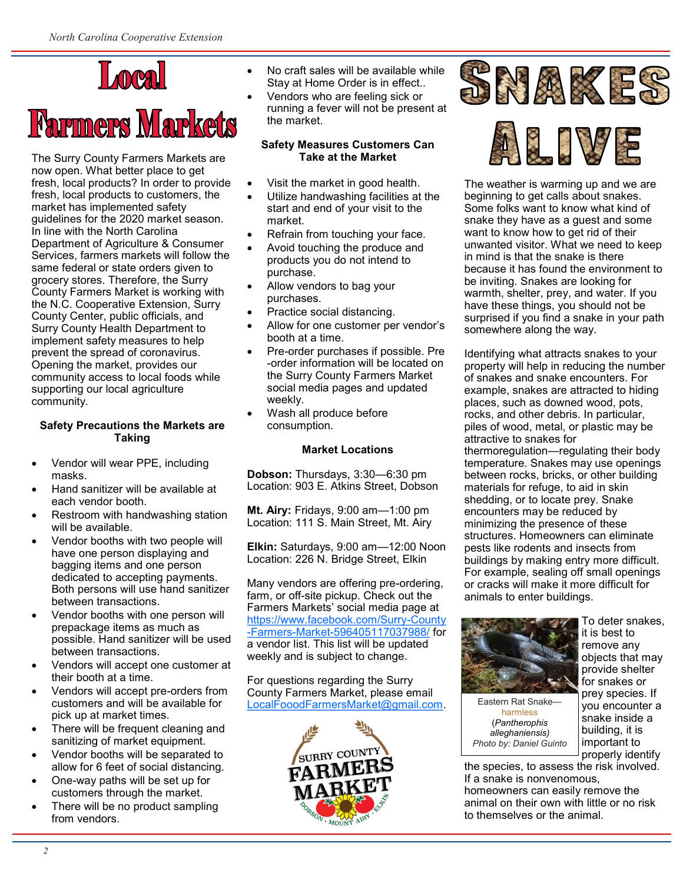## Local

# **Farmers Markets**

The Surry County Farmers Markets are now open. What better place to get fresh, local products? In order to provide fresh, local products to customers, the market has implemented safety guidelines for the 2020 market season. In line with the North Carolina Department of Agriculture & Consumer Services, farmers markets will follow the same federal or state orders given to grocery stores. Therefore, the Surry County Farmers Market is working with the N.C. Cooperative Extension, Surry County Center, public officials, and Surry County Health Department to implement safety measures to help prevent the spread of coronavirus. Opening the market, provides our community access to local foods while supporting our local agriculture community.

## **Safety Precautions the Markets are Taking**

- Vendor will wear PPE, including masks.
- Hand sanitizer will be available at each vendor booth.
- Restroom with handwashing station will be available.
- Vendor booths with two people will have one person displaying and bagging items and one person dedicated to accepting payments. Both persons will use hand sanitizer between transactions.
- Vendor booths with one person will prepackage items as much as possible. Hand sanitizer will be used between transactions.
- Vendors will accept one customer at their booth at a time.
- Vendors will accept pre-orders from customers and will be available for pick up at market times.
- There will be frequent cleaning and sanitizing of market equipment.
- Vendor booths will be separated to allow for 6 feet of social distancing.
- One-way paths will be set up for customers through the market.
- There will be no product sampling from vendors.
- No craft sales will be available while Stay at Home Order is in effect..
- Vendors who are feeling sick or running a fever will not be present at the market.

#### **Safety Measures Customers Can Take at the Market**

- Visit the market in good health.
- Utilize handwashing facilities at the start and end of your visit to the market.
- Refrain from touching your face.
- Avoid touching the produce and products you do not intend to purchase.
- Allow vendors to bag your purchases.
- Practice social distancing.
- Allow for one customer per vendor's booth at a time.
- Pre-order purchases if possible. Pre -order information will be located on the Surry County Farmers Market social media pages and updated weekly.
- Wash all produce before consumption.

## **Market Locations**

**Dobson:** Thursdays, 3:30—6:30 pm Location: 903 E. Atkins Street, Dobson

**Mt. Airy:** Fridays, 9:00 am—1:00 pm Location: 111 S. Main Street, Mt. Airy

**Elkin:** Saturdays, 9:00 am—12:00 Noon Location: 226 N. Bridge Street, Elkin

Many vendors are offering pre-ordering, farm, or off-site pickup. Check out the Farmers Markets' social media page at [https://www.facebook.com/Surry](https://www.facebook.com/Surry-County-Farmers-Market-596405117037988/)-County -Farmers-Market-[596405117037988/](https://www.facebook.com/Surry-County-Farmers-Market-596405117037988/) for a vendor list. This list will be updated weekly and is subject to change.

For questions regarding the Surry County Farmers Market, please email [LocalFooodFarmersMarket@gmail.com.](mailto:LocalFooodFarmersMarket@gmail.com)







The weather is warming up and we are beginning to get calls about snakes. Some folks want to know what kind of snake they have as a guest and some want to know how to get rid of their unwanted visitor. What we need to keep in mind is that the snake is there because it has found the environment to be inviting. Snakes are looking for warmth, shelter, prey, and water. If you have these things, you should not be surprised if you find a snake in your path somewhere along the way.

Identifying what attracts snakes to your property will help in reducing the number of snakes and snake encounters. For example, snakes are attracted to hiding places, such as downed wood, pots, rocks, and other debris. In particular, piles of wood, metal, or plastic may be attractive to snakes for thermoregulation—regulating their body temperature. Snakes may use openings between rocks, bricks, or other building materials for refuge, to aid in skin shedding, or to locate prey. Snake encounters may be reduced by minimizing the presence of these structures. Homeowners can eliminate pests like rodents and insects from buildings by making entry more difficult. For example, sealing off small openings or cracks will make it more difficult for animals to enter buildings.



harmless (*Pantherophis alleghaniensis) Photo by: Daniel Guinto*

To deter snakes, it is best to remove any objects that may provide shelter for snakes or prey species. If you encounter a snake inside a building, it is important to properly identify

the species, to assess the risk involved. If a snake is nonvenomous, homeowners can easily remove the animal on their own with little or no risk to themselves or the animal.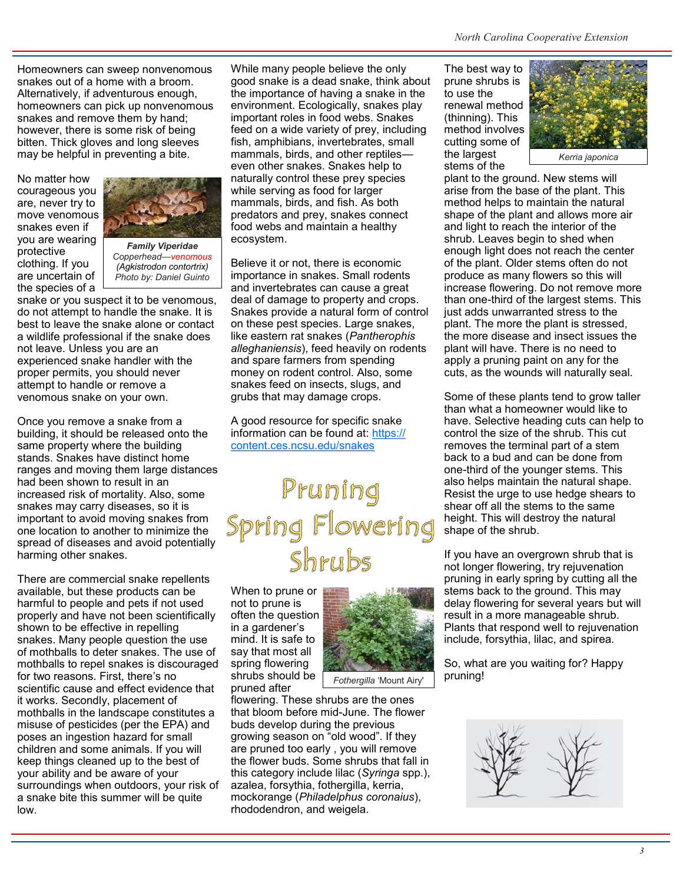Homeowners can sweep nonvenomous snakes out of a home with a broom. Alternatively, if adventurous enough, homeowners can pick up nonvenomous snakes and remove them by hand; however, there is some risk of being bitten. Thick gloves and long sleeves may be helpful in preventing a bite.

No matter how courageous you are, never try to move venomous snakes even if you are wearing protective clothing. If you are uncertain of the species of a



*Family Viperidae Copperhead—venomous (Agkistrodon contortrix) Photo by: Daniel Guinto*

snake or you suspect it to be venomous, do not attempt to handle the snake. It is best to leave the snake alone or contact a wildlife professional if the snake does not leave. Unless you are an experienced snake handler with the proper permits, you should never attempt to handle or remove a venomous snake on your own.

Once you remove a snake from a building, it should be released onto the same property where the building stands. Snakes have distinct home ranges and moving them large distances had been shown to result in an increased risk of mortality. Also, some snakes may carry diseases, so it is important to avoid moving snakes from one location to another to minimize the spread of diseases and avoid potentially harming other snakes.

There are commercial snake repellents available, but these products can be harmful to people and pets if not used properly and have not been scientifically shown to be effective in repelling snakes. Many people question the use of mothballs to deter snakes. The use of mothballs to repel snakes is discouraged for two reasons. First, there's no scientific cause and effect evidence that it works. Secondly, placement of mothballs in the landscape constitutes a misuse of pesticides (per the EPA) and poses an ingestion hazard for small children and some animals. If you will keep things cleaned up to the best of your ability and be aware of your surroundings when outdoors, your risk of a snake bite this summer will be quite low.

While many people believe the only good snake is a dead snake, think about the importance of having a snake in the environment. Ecologically, snakes play important roles in food webs. Snakes feed on a wide variety of prey, including fish, amphibians, invertebrates, small mammals, birds, and other reptiles even other snakes. Snakes help to naturally control these prey species while serving as food for larger mammals, birds, and fish. As both predators and prey, snakes connect food webs and maintain a healthy ecosystem.

Believe it or not, there is economic importance in snakes. Small rodents and invertebrates can cause a great deal of damage to property and crops. Snakes provide a natural form of control on these pest species. Large snakes, like eastern rat snakes (*Pantherophis alleghaniensis*), feed heavily on rodents and spare farmers from spending money on rodent control. Also, some snakes feed on insects, slugs, and grubs that may damage crops.

A good resource for specific snake information can be found at: [https://](https://content.ces.ncsu.edu/snakes) [content.ces.ncsu.edu/snakes](https://content.ces.ncsu.edu/snakes)

# Pruning<br>Spring Flowering<br>Shrubs

When to prune or not to prune is often the question in a gardener's mind. It is safe to say that most all spring flowering shrubs should be pruned after



flowering. These shrubs are the ones that bloom before mid-June. The flower buds develop during the previous growing season on "old wood". If they are pruned too early , you will remove the flower buds. Some shrubs that fall in this category include lilac (*Syringa* spp.), azalea, forsythia, fothergilla, kerria, mockorange (*Philadelphus coronaius*), rhododendron, and weigela.

The best way to prune shrubs is to use the renewal method (thinning). This method involves cutting some of the largest stems of the



plant to the ground. New stems will arise from the base of the plant. This method helps to maintain the natural shape of the plant and allows more air and light to reach the interior of the shrub. Leaves begin to shed when enough light does not reach the center of the plant. Older stems often do not produce as many flowers so this will increase flowering. Do not remove more than one-third of the largest stems. This just adds unwarranted stress to the plant. The more the plant is stressed, the more disease and insect issues the plant will have. There is no need to apply a pruning paint on any for the cuts, as the wounds will naturally seal.

Some of these plants tend to grow taller than what a homeowner would like to have. Selective heading cuts can help to control the size of the shrub. This cut removes the terminal part of a stem back to a bud and can be done from one-third of the younger stems. This also helps maintain the natural shape. Resist the urge to use hedge shears to shear off all the stems to the same height. This will destroy the natural shape of the shrub.

If you have an overgrown shrub that is not longer flowering, try rejuvenation pruning in early spring by cutting all the stems back to the ground. This may delay flowering for several years but will result in a more manageable shrub. Plants that respond well to rejuvenation include, forsythia, lilac, and spirea.

So, what are you waiting for? Happy